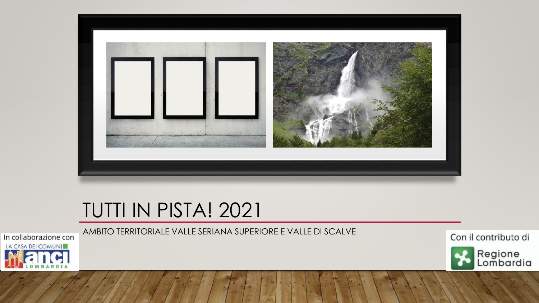

# TUTTI IN PISTA! 2021



Con il contributo di



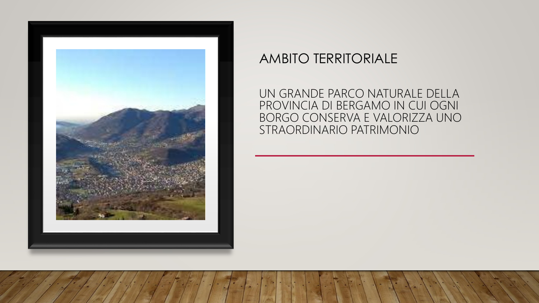

### AMBITO TERRITORIALE

UN GRANDE PARCO NATURALE DELLA PROVINCIA DI BERGAMO IN CUI OGNI BORGO CONSERVA E VALORIZZA UNO STRAORDINARIO PATRIMONIO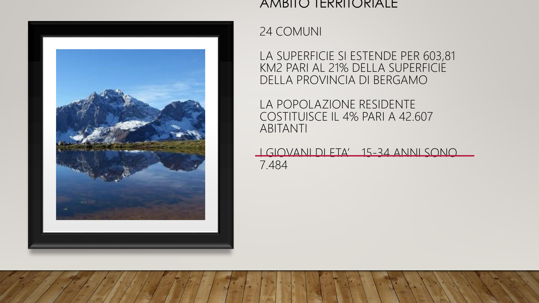

#### AMBIJO IERRIJORIALE

24 COMUNI

LA SUPERFICIE SI ESTENDE PER 603,81 KM2 PARI AL 21% DELLA SUPERFICIE DELLA PROVINCIA DI BERGAMO

LA POPOLAZIONE RESIDENTE COSTITUISCE IL 4% PARI A 42.607 ABITANTI

I GIOVANI DI ETA' 15-34 ANNI SONO 7.484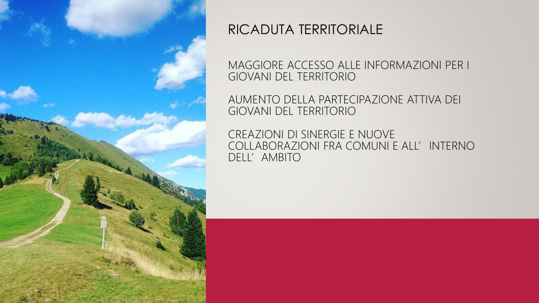

### RICADUTA TERRITORIALE

MAGGIORE ACCESSO ALLE INFORMAZIONI PER I GIOVANI DEL TERRITORIO

AUMENTO DELLA PARTECIPAZIONE ATTIVA DEI GIOVANI DEL TERRITORIO

CREAZIONI DI SINERGIE E NUOVE COLLABORAZIONI FRA COMUNI E ALL'INTERNO DELL'AMBITO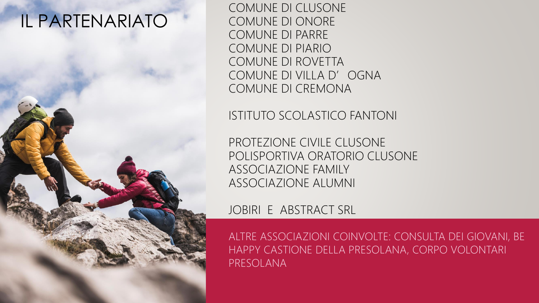# IL PARTENARIATO

COMUNE DI CLUSONE COMUNE DI ONORE COMUNE DI PARRE COMUNE DI PIARIO COMUNE DI ROVETTA COMUNE DI VILLA D' OGNA COMUNE DI CREMONA

ISTITUTO SCOLASTICO FANTONI

PROTEZIONE CIVILE CLUSONE POLISPORTIVA ORATORIO CLUSONE ASSOCIAZIONE FAMILY ASSOCIAZIONE ALUMNI

JOBIRI E ABSTRACT SRL

ALTRE ASSOCIAZIONI COINVOLTE: CONSULTA DEI GIOVANI, BE HAPPY CASTIONE DELLA PRESOLANA, CORPO VOLONTARI PRESOLANA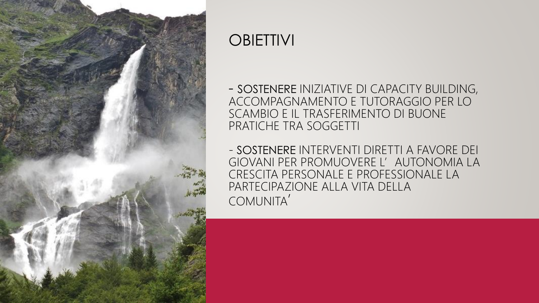

### **OBIETTIVI**

- SOSTENERE INIZIATIVE DI CAPACITY BUILDING, ACCOMPAGNAMENTO E TUTORAGGIO PER LO SCAMBIO E IL TRASFERIMENTO DI BUONE PRATICHE TRA SOGGETTI

- SOSTENERE INTERVENTI DIRETTI A FAVORE DEI GIOVANI PER PROMUOVERE L'AUTONOMIA LA CRESCITA PERSONALE E PROFESSIONALE LA PARTECIPAZIONE ALLA VITA DELLA COMUNITA'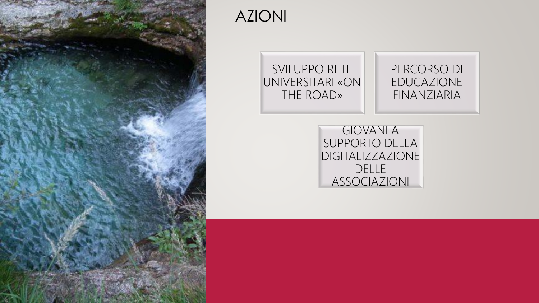

### AZIONI

#### SVILUPPO RETE UNIVERSITARI «ON THE ROAD»

#### PERCORSO DI EDUCAZIONE FINANZIARIA

GIOVANI A SUPPORTO DELLA DIGITALIZZAZIONE DELLE ASSOCIAZIONI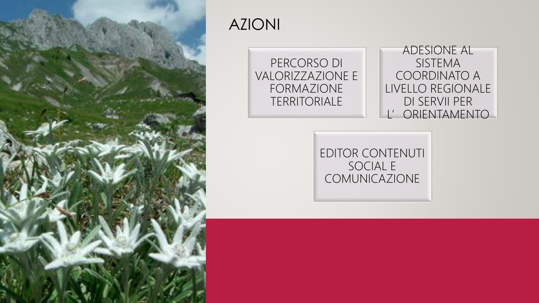

### AZIONI

PERCORSO DI VALORIZZAZIONE E FORMAZIONE TERRITORIALE

ADESIONE AL SISTEMA COORDINATO A LIVELLO REGIONALE DI SERVII PER L'ORIENTAMENTO

EDITOR CONTENUTI SOCIAL E COMUNICAZIONE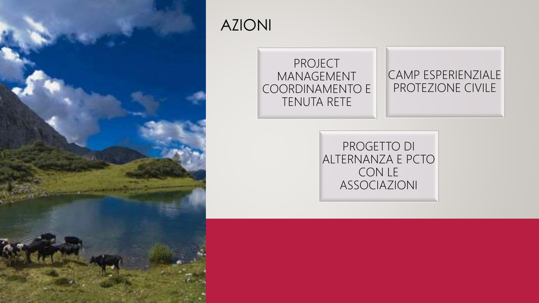

## AZIONI

#### PROJECT MANAGEMENT COORDINAMENTO E TENUTA RETE

#### CAMP ESPERIENZIALE PROTEZIONE CIVILE

PROGETTO DI ALTERNANZA E PCTO CON LE ASSOCIAZIONI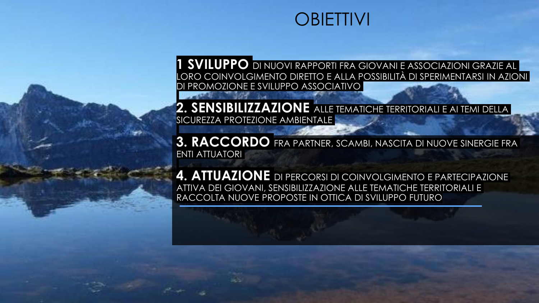## **OBIETTIVI**

**1 SVILUPPO** DI NUOVI RAPPORTI FRA GIOVANI E ASSOCIAZIONI GRAZIE AL LORO COINVOLGIMENTO DIRETTO E ALLA POSSIBILITÀ DI SPERIMENTARSI IN AZIONI DI PROMOZIONE E SVILUPPO ASSOCIATIVO

**2. SENSIBILIZZAZIONE** ALLE TEMATICHE TERRITORIALI E AI TEMI DELLA SICUREZZA PROTEZIONE AMBIENTALE

**3. RACCORDO** FRA PARTNER, SCAMBI, NASCITA DI NUOVE SINERGIE FRA ENTI ATTUATORI

**4. ATTUAZIONE** DI PERCORSI DI COINVOLGIMENTO E PARTECIPAZIONE ATTIVA DEI GIOVANI, SENSIBILIZZAZIONE ALLE TEMATICHE TERRITORIALI E RACCOLTA NUOVE PROPOSTE IN OTTICA DI SVILUPPO FUTURO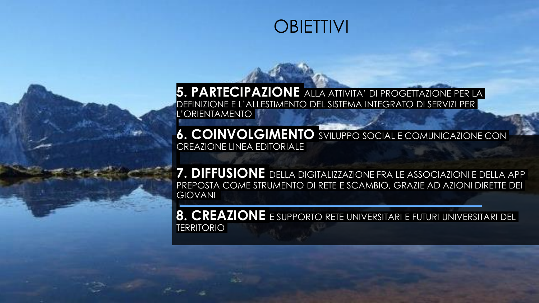## **OBIETTIVI**

**5. PARTECIPAZIONE** ALLA ATTIVITA' DI PROGETTAZIONE PER LA DEFINIZIONE E L'ALLESTIMENTO DEL SISTEMA INTEGRATO DI SERVIZI PER L'ORIENTAMENTO

**6. COINVOLGIMENTO** SVILUPPO SOCIAL E COMUNICAZIONE CON CREAZIONE LINEA EDITORIALE

**7. DIFFUSIONE** DELLA DIGITALIZZAZIONE FRA LE ASSOCIAZIONI E DELLA APP PREPOSTA COME STRUMENTO DI RETE E SCAMBIO, GRAZIE AD AZIONI DIRETTE DEI GIOVANI

**8. CREAZIONE** E SUPPORTO RETE UNIVERSITARI E FUTURI UNIVERSITARI DEL TERRITORIO